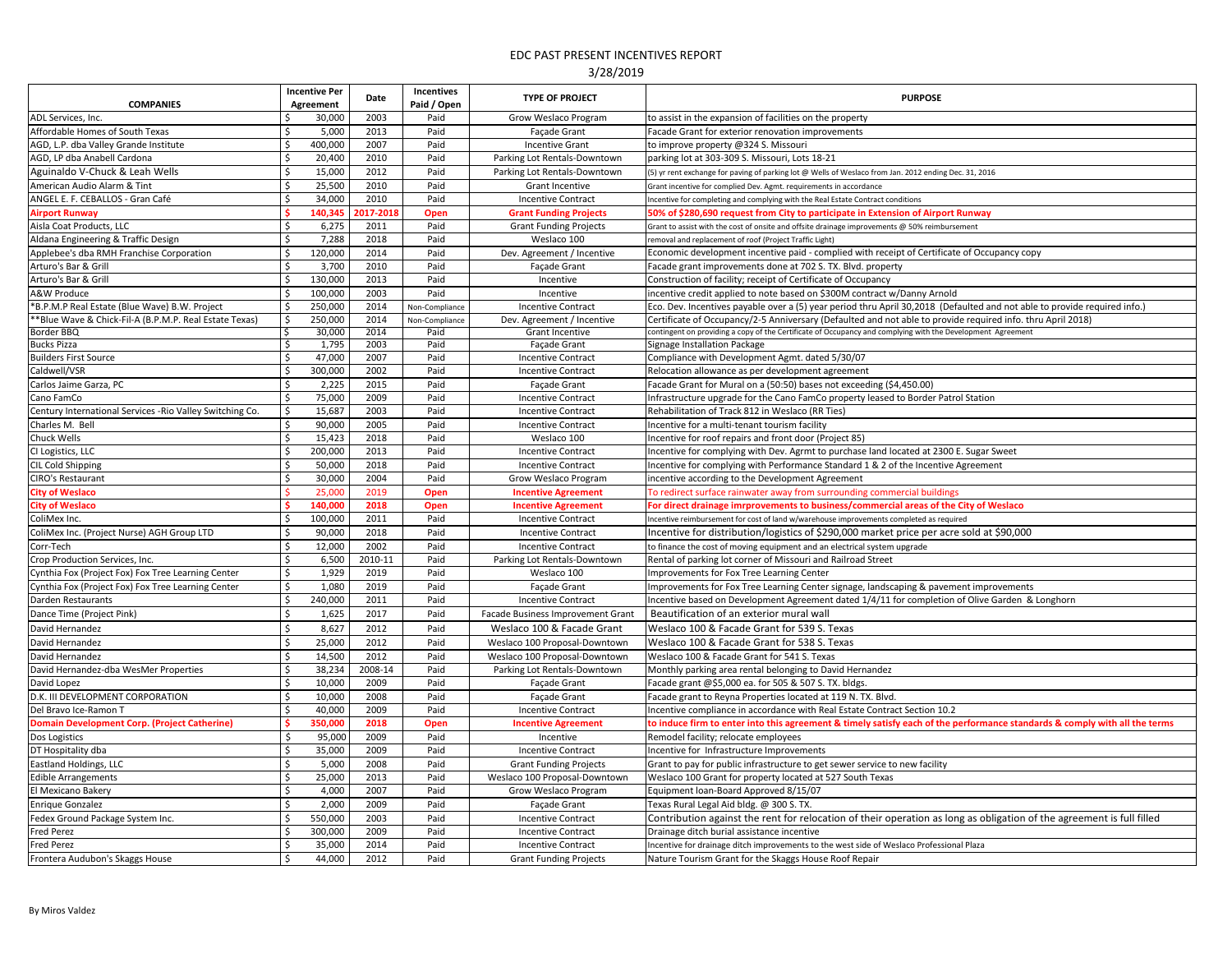|                                                           | <b>Incentive Per</b> | Date         | <b>Incentives</b> | <b>TYPE OF PROJECT</b>                 | <b>PURPOSE</b>                                                                                                                                                                                                             |
|-----------------------------------------------------------|----------------------|--------------|-------------------|----------------------------------------|----------------------------------------------------------------------------------------------------------------------------------------------------------------------------------------------------------------------------|
| <b>COMPANIES</b>                                          | <b>Agreement</b>     |              | Paid / Open       |                                        |                                                                                                                                                                                                                            |
| ADL Services, Inc.                                        | 30,000               | 2003         | Paid              | Grow Weslaco Program                   | to assist in the expansion of facilities on the property                                                                                                                                                                   |
| Affordable Homes of South Texas                           | 5,000                | 2013         | Paid              | Façade Grant                           | Facade Grant for exterior renovation improvements                                                                                                                                                                          |
| AGD, L.P. dba Valley Grande Institute                     | 400,000              | 2007         | Paid              | <b>Incentive Grant</b>                 | to improve property @324 S. Missouri                                                                                                                                                                                       |
| AGD, LP dba Anabell Cardona                               | 20,400               | 2010         | Paid              | Parking Lot Rentals-Downtown           | parking lot at 303-309 S. Missouri, Lots 18-21                                                                                                                                                                             |
| Aguinaldo V-Chuck & Leah Wells                            | 15,000               | 2012         | Paid              | Parking Lot Rentals-Downtown           | (5) yr rent exchange for paving of parking lot @ Wells of Weslaco from Jan. 2012 ending Dec. 31, 2016                                                                                                                      |
| American Audio Alarm & Tint                               | 25,500               | 2010         | Paid              | <b>Grant Incentive</b>                 | Grant incentive for complied Dev. Agmt. requirements in accordance                                                                                                                                                         |
| ANGEL E. F. CEBALLOS - Gran Café                          | 34,000               | 2010         | Paid              | <b>Incentive Contract</b>              | Incentive for completing and complying with the Real Estate Contract conditions                                                                                                                                            |
| <b>Airport Runway</b>                                     | 140,345              | 2017-2018    | Open              | <b>Grant Funding Projects</b>          | 50% of \$280,690 request from City to participate in Extension of Airport Runway                                                                                                                                           |
| Aisla Coat Products, LLC                                  | 6,275                | 2011         | Paid              | <b>Grant Funding Projects</b>          | Grant to assist with the cost of onsite and offsite drainage improvements @ 50% reimbursement                                                                                                                              |
| Aldana Engineering & Traffic Design                       | 7,288                | 2018         | Paid              | Weslaco 100                            | removal and replacement of roof (Project Traffic Light)                                                                                                                                                                    |
| Applebee's dba RMH Franchise Corporation                  | 120,000              | 2014         | Paid              | Dev. Agreement / Incentive             | Economic development incentive paid - complied with receipt of Certificate of Occupancy copy                                                                                                                               |
| Arturo's Bar & Grill                                      | 3,700                | 2010         | Paid              | Façade Grant                           | Facade grant improvements done at 702 S. TX. Blvd. property                                                                                                                                                                |
| Arturo's Bar & Grill                                      | 130,000              | 2013         | Paid              | Incentive                              | Construction of facility; receipt of Certificate of Occupancy                                                                                                                                                              |
| <b>A&amp;W Produce</b>                                    | 100,000              | 2003         | Paid              | Incentive                              | incentive credit applied to note based on \$300M contract w/Danny Arnold                                                                                                                                                   |
| *B.P.M.P Real Estate (Blue Wave) B.W. Project             | 250,000              | 2014         | Non-Compliance    | <b>Incentive Contract</b>              | Eco. Dev. Incentives payable over a (5) year period thru April 30,2018 (Defaulted and not able to provide required info.)                                                                                                  |
| **Blue Wave & Chick-Fil-A (B.P.M.P. Real Estate Texas)    | 250,000              | 2014         | Non-Compliance    | Dev. Agreement / Incentive             | Certificate of Occupancy/2-5 Anniversary (Defaulted and not able to provide required info. thru April 2018)<br>contingent on providing a copy of the Certificate of Occupancy and complying with the Development Agreement |
| Border BBQ<br><b>Bucks Pizza</b>                          | 30,000<br>1,795      | 2014<br>2003 | Paid<br>Paid      | <b>Grant Incentive</b><br>Façade Grant | Signage Installation Package                                                                                                                                                                                               |
| <b>Builders First Source</b>                              | 47,000               | 2007         | Paid              | <b>Incentive Contract</b>              | Compliance with Development Agmt. dated 5/30/07                                                                                                                                                                            |
| Caldwell/VSR                                              | 300,000              | 2002         | Paid              | <b>Incentive Contract</b>              | Relocation allowance as per development agreement                                                                                                                                                                          |
| Carlos Jaime Garza, PC                                    | 2,225                | 2015         | Paid              | Façade Grant                           | Facade Grant for Mural on a (50:50) bases not exceeding (\$4,450.00)                                                                                                                                                       |
| Cano FamCo                                                | 75,000               | 2009         | Paid              | <b>Incentive Contract</b>              | Infrastructure upgrade for the Cano FamCo property leased to Border Patrol Station                                                                                                                                         |
| Century International Services - Rio Valley Switching Co. | 15,687               | 2003         | Paid              | <b>Incentive Contract</b>              | Rehabilitation of Track 812 in Weslaco (RR Ties)                                                                                                                                                                           |
| Charles M. Bell                                           | 90,000               | 2005         | Paid              | <b>Incentive Contract</b>              | Incentive for a multi-tenant tourism facility                                                                                                                                                                              |
| Chuck Wells                                               | 15,423               | 2018         | Paid              | Weslaco 100                            | Incentive for roof repairs and front door (Project 85)                                                                                                                                                                     |
| CI Logistics, LLC                                         | 200,000              | 2013         | Paid              | <b>Incentive Contract</b>              | Incentive for complying with Dev. Agrmt to purchase land located at 2300 E. Sugar Sweet                                                                                                                                    |
| CIL Cold Shipping                                         | 50,000               | 2018         | Paid              | <b>Incentive Contract</b>              | Incentive for complying with Performance Standard 1 & 2 of the Incentive Agreement                                                                                                                                         |
| CIRO's Restaurant                                         | 30,000               | 2004         | Paid              | Grow Weslaco Program                   | incentive according to the Development Agreement                                                                                                                                                                           |
| <b>City of Weslaco</b>                                    | 25,000               | 2019         | <b>Open</b>       | <b>Incentive Agreement</b>             | To redirect surface rainwater away from surrounding commercial buildings                                                                                                                                                   |
| <b>City of Weslaco</b>                                    | 140,000              | 2018         | <b>Open</b>       | <b>Incentive Agreement</b>             | For direct drainage imrprovements to business/commercial areas of the City of Weslaco                                                                                                                                      |
| ColiMex Inc.                                              | 100,000              | 2011         | Paid              | <b>Incentive Contract</b>              | Incentive reimbursement for cost of land w/warehouse improvements completed as required                                                                                                                                    |
| ColiMex Inc. (Project Nurse) AGH Group LTD                | 90,000               | 2018         | Paid              | <b>Incentive Contract</b>              | Incentive for distribution/logistics of \$290,000 market price per acre sold at \$90,000                                                                                                                                   |
| Corr-Tech                                                 | 12,000               | 2002         | Paid              | <b>Incentive Contract</b>              | to finance the cost of moving equipment and an electrical system upgrade                                                                                                                                                   |
| Crop Production Services, Inc.                            | 6,500                | 2010-11      | Paid              | Parking Lot Rentals-Downtown           | Rental of parking lot corner of Missouri and Railroad Street                                                                                                                                                               |
| Cynthia Fox (Project Fox) Fox Tree Learning Center        | 1,929                | 2019         | Paid              | Weslaco 100                            | Improvements for Fox Tree Learning Center                                                                                                                                                                                  |
| Cynthia Fox (Project Fox) Fox Tree Learning Center        | 1,080                | 2019         | Paid              | Façade Grant                           | Improvements for Fox Tree Learning Center signage, landscaping & pavement improvements                                                                                                                                     |
| Darden Restaurants                                        | 240,000              | 2011         | Paid              | <b>Incentive Contract</b>              | Incentive based on Development Agreement dated 1/4/11 for completion of Olive Garden & Longhorn                                                                                                                            |
| Dance Time (Project Pink)                                 | 1,625                | 2017         | Paid              | Facade Business Improvement Grant      | Beautification of an exterior mural wall                                                                                                                                                                                   |
| David Hernandez                                           | 8,627                | 2012         | Paid              | Weslaco 100 & Facade Grant             | Weslaco 100 & Facade Grant for 539 S. Texas                                                                                                                                                                                |
| David Hernandez                                           | 25,000               | 2012         | Paid              | Weslaco 100 Proposal-Downtown          | Weslaco 100 & Facade Grant for 538 S. Texas                                                                                                                                                                                |
| David Hernandez                                           | 14,500               | 2012         | Paid              | Weslaco 100 Proposal-Downtown          | Weslaco 100 & Facade Grant for 541 S. Texas                                                                                                                                                                                |
| David Hernandez-dba WesMer Properties                     | 38,234               | 2008-14      | Paid              | Parking Lot Rentals-Downtown           | Monthly parking area rental belonging to David Hernandez                                                                                                                                                                   |
| David Lopez                                               | 10,000               | 2009         | Paid              | Façade Grant                           | Facade grant @\$5,000 ea. for 505 & 507 S. TX. bldgs.                                                                                                                                                                      |
| D.K. III DEVELOPMENT CORPORATION                          | 10,000               | 2008         | Paid              | Façade Grant                           | Facade grant to Reyna Properties located at 119 N. TX. Blvd.                                                                                                                                                               |
| Del Bravo Ice-Ramon T                                     | 40,000               | 2009         | Paid              | <b>Incentive Contract</b>              | Incentive compliance in accordance with Real Estate Contract Section 10.2                                                                                                                                                  |
| <b>Domain Development Corp. (Project Catherine)</b>       | 350,000              | 2018         | <b>Open</b>       | <b>Incentive Agreement</b>             | to induce firm to enter into this agreement & timely satisfy each of the performance standards & comply with all the terms                                                                                                 |
| Dos Logistics                                             | 95,000<br>-\$        | 2009         | Paid              | Incentive                              | Remodel facility; relocate employees                                                                                                                                                                                       |
| DT Hospitality dba                                        | 35,000               | 2009         | Paid              | <b>Incentive Contract</b>              | Incentive for Infrastructure Improvements                                                                                                                                                                                  |
| <b>Eastland Holdings, LLC</b>                             | 5,000                | 2008         | Paid              | <b>Grant Funding Projects</b>          | Grant to pay for public infrastructure to get sewer service to new facility                                                                                                                                                |
| <b>Edible Arrangements</b>                                | 25,000               | 2013         | Paid              | Weslaco 100 Proposal-Downtown          | Weslaco 100 Grant for property located at 527 South Texas                                                                                                                                                                  |
| El Mexicano Bakery                                        | 4,000                | 2007         | Paid              | Grow Weslaco Program                   | Equipment loan-Board Approved 8/15/07                                                                                                                                                                                      |
| <b>Enrique Gonzalez</b>                                   | 2,000                | 2009         | Paid              | Façade Grant                           | Texas Rural Legal Aid bldg. @ 300 S. TX.                                                                                                                                                                                   |
| Fedex Ground Package System Inc.                          | 550,000              | 2003         | Paid              | <b>Incentive Contract</b>              | Contribution against the rent for relocation of their operation as long as obligation of the agreement is full filled                                                                                                      |
| Fred Perez                                                | 300,000              | 2009         | Paid              | <b>Incentive Contract</b>              | Drainage ditch burial assistance incentive                                                                                                                                                                                 |
| Fred Perez                                                | 35,000               | 2014         | Paid              | <b>Incentive Contract</b>              | Incentive for drainage ditch improvements to the west side of Weslaco Professional Plaza                                                                                                                                   |
| Frontera Audubon's Skaggs House                           | 44,000               | 2012         | Paid              | <b>Grant Funding Projects</b>          | Nature Tourism Grant for the Skaggs House Roof Repair                                                                                                                                                                      |
|                                                           |                      |              |                   |                                        |                                                                                                                                                                                                                            |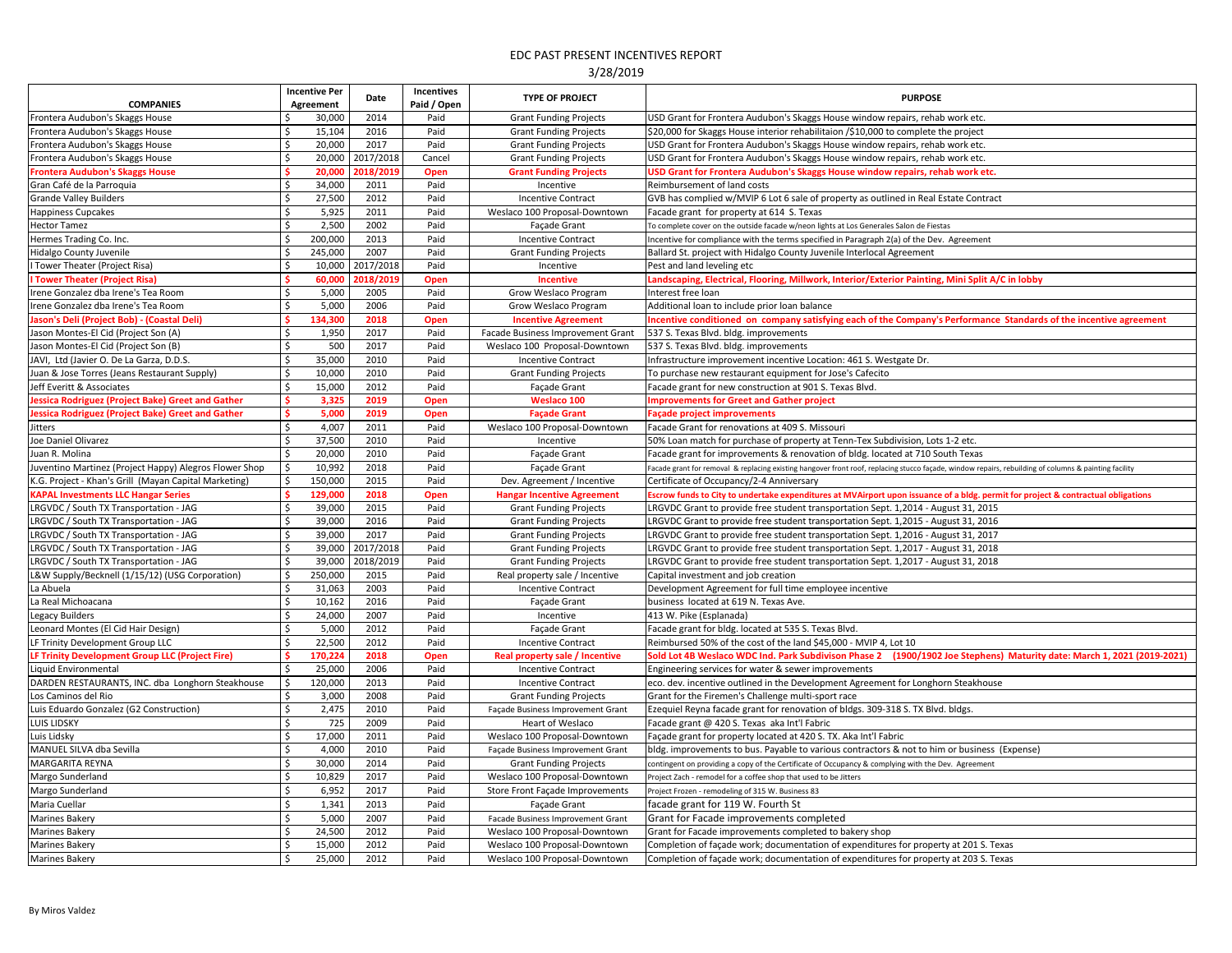|                                                                          |                    | <b>Incentive Per</b> | Date         | Incentives          | <b>TYPE OF PROJECT</b>                                         | <b>PURPOSE</b>                                                                                                                                                                             |
|--------------------------------------------------------------------------|--------------------|----------------------|--------------|---------------------|----------------------------------------------------------------|--------------------------------------------------------------------------------------------------------------------------------------------------------------------------------------------|
| <b>COMPANIES</b>                                                         |                    | Agreement            |              | Paid / Open         |                                                                |                                                                                                                                                                                            |
| Frontera Audubon's Skaggs House                                          |                    | 30,000               | 2014         | Paid                | <b>Grant Funding Projects</b>                                  | USD Grant for Frontera Audubon's Skaggs House window repairs, rehab work etc.                                                                                                              |
| Frontera Audubon's Skaggs House                                          |                    | 15,104               | 2016         | Paid                | <b>Grant Funding Projects</b>                                  | \$20,000 for Skaggs House interior rehabilitaion /\$10,000 to complete the project                                                                                                         |
| Frontera Audubon's Skaggs House                                          |                    | 20,000               | 2017         | Paid                | <b>Grant Funding Projects</b>                                  | USD Grant for Frontera Audubon's Skaggs House window repairs, rehab work etc.                                                                                                              |
| Frontera Audubon's Skaggs House                                          |                    | 20,000               | 2017/2018    | Cancel              | <b>Grant Funding Projects</b>                                  | USD Grant for Frontera Audubon's Skaggs House window repairs, rehab work etc.                                                                                                              |
| <b>Frontera Audubon's Skaggs House</b>                                   |                    | 20,000               | 2018/2019    | <b>Open</b>         | <b>Grant Funding Projects</b>                                  | USD Grant for Frontera Audubon's Skaggs House window repairs, rehab work etc.                                                                                                              |
| Gran Café de la Parroquia                                                | \$                 | 34,000               | 2011         | Paid                | Incentive                                                      | Reimbursement of land costs                                                                                                                                                                |
| <b>Grande Valley Builders</b>                                            |                    | 27,500               | 2012         | Paid                | <b>Incentive Contract</b>                                      | GVB has complied w/MVIP 6 Lot 6 sale of property as outlined in Real Estate Contract                                                                                                       |
| Happiness Cupcakes                                                       |                    | 5,925                | 2011         | Paid                | Weslaco 100 Proposal-Downtown                                  | Facade grant for property at 614 S. Texas                                                                                                                                                  |
| <b>Hector Tamez</b>                                                      |                    | 2,500                | 2002         | Paid                | Façade Grant                                                   | To complete cover on the outside facade w/neon lights at Los Generales Salon de Fiestas                                                                                                    |
| Hermes Trading Co. Inc.                                                  |                    | 200,000              | 2013         | Paid                | <b>Incentive Contract</b>                                      | Incentive for compliance with the terms specified in Paragraph 2(a) of the Dev. Agreement                                                                                                  |
| <b>Hidalgo County Juvenile</b>                                           |                    | 245,000              | 2007         | Paid                | <b>Grant Funding Projects</b>                                  | Ballard St. project with Hidalgo County Juvenile Interlocal Agreement                                                                                                                      |
| I Tower Theater (Project Risa)                                           |                    | 10,000               | 2017/2018    | Paid                | Incentive                                                      | Pest and land leveling etc                                                                                                                                                                 |
| <b>I Tower Theater (Project Risa)</b>                                    |                    | 60,000               | 2018/2019    | <b>Open</b>         | <b>Incentive</b>                                               | Landscaping, Electrical, Flooring, Millwork, Interior/Exterior Painting, Mini Split A/C in lobby                                                                                           |
| Irene Gonzalez dba Irene's Tea Room                                      |                    | 5,000                | 2005         | Paid                | Grow Weslaco Program                                           | Interest free loan                                                                                                                                                                         |
| Irene Gonzalez dba Irene's Tea Room                                      |                    | 5,000                | 2006         | Paid                | Grow Weslaco Program                                           | Additional loan to include prior loan balance                                                                                                                                              |
| Jason's Deli (Project Bob) - (Coastal Deli)                              |                    | 134,300              | 2018         | <b>Open</b>         | <b>Incentive Agreement</b>                                     | Incentive conditioned on company satisfying each of the Company's Performance Standards of the incentive agreement                                                                         |
| Jason Montes-El Cid (Project Son (A)                                     |                    | 1,950                | 2017         | Paid                | Facade Business Improvement Grant                              | 537 S. Texas Blvd. bldg. improvements                                                                                                                                                      |
| Jason Montes-El Cid (Project Son (B)                                     |                    | 500                  | 2017         | Paid                | Weslaco 100 Proposal-Downtown                                  | 537 S. Texas Blvd. bldg. improvements                                                                                                                                                      |
| JAVI, Ltd (Javier O. De La Garza, D.D.S.                                 |                    | 35,000               | 2010         | Paid                | <b>Incentive Contract</b>                                      | Infrastructure improvement incentive Location: 461 S. Westgate Dr.                                                                                                                         |
| Juan & Jose Torres (Jeans Restaurant Supply)                             | Ś.                 | 10,000               | 2010         | Paid                | <b>Grant Funding Projects</b>                                  | To purchase new restaurant equipment for Jose's Cafecito                                                                                                                                   |
| Jeff Everitt & Associates                                                | $\zeta$            | 15,000               | 2012         | Paid                | Façade Grant                                                   | Facade grant for new construction at 901 S. Texas Blvd.                                                                                                                                    |
| <b>Jessica Rodriguez (Project Bake) Greet and Gather</b>                 |                    | 3,325                | 2019         | <b>Open</b>         | <b>Weslaco 100</b>                                             | mprovements for Greet and Gather project                                                                                                                                                   |
| <b>Jessica Rodriguez (Project Bake) Greet and Gather</b>                 |                    | 5,000                | 2019         | <b>Open</b>         | <b>Façade Grant</b>                                            | <b>Façade project improvements</b>                                                                                                                                                         |
| Jitters                                                                  |                    | 4,007                | 2011         | Paid                | Weslaco 100 Proposal-Downtown                                  | Facade Grant for renovations at 409 S. Missouri                                                                                                                                            |
| Joe Daniel Olivarez                                                      |                    | 37,500               | 2010         | Paid                | Incentive                                                      | 50% Loan match for purchase of property at Tenn-Tex Subdivision, Lots 1-2 etc.                                                                                                             |
| Juan R. Molina                                                           | $\zeta$            | 20,000               | 2010         | Paid                | Façade Grant                                                   | Facade grant for improvements & renovation of bldg. located at 710 South Texas                                                                                                             |
| Juventino Martinez (Project Happy) Alegros Flower Shop                   | $\mathsf{\hat{S}}$ | 10,992               | 2018         | Paid                | Façade Grant                                                   | Facade grant for removal & replacing existing hangover front roof, replacing stucco façade, window repairs, rebuilding of columns & painting facility                                      |
| K.G. Project - Khan's Grill (Mayan Capital Marketing)                    |                    | 150,000              | 2015         | Paid                | Dev. Agreement / Incentive                                     | Certificate of Occupancy/2-4 Anniversary                                                                                                                                                   |
| <b>KAPAL Investments LLC Hangar Series</b>                               |                    | 129,000              | 2018         | <b>Open</b>         | <b>Hangar Incentive Agreement</b>                              | Escrow funds to City to undertake expenditures at MVAirport upon issuance of a bldg. permit for project & contractual obligations                                                          |
| LRGVDC / South TX Transportation - JAG                                   | Š.                 | 39,000               | 2015         | Paid                | <b>Grant Funding Projects</b>                                  | LRGVDC Grant to provide free student transportation Sept. 1,2014 - August 31, 2015                                                                                                         |
| LRGVDC / South TX Transportation - JAG                                   | Ś.                 | 39,000               | 2016         | Paid                | <b>Grant Funding Projects</b>                                  | LRGVDC Grant to provide free student transportation Sept. 1,2015 - August 31, 2016                                                                                                         |
| LRGVDC / South TX Transportation - JAG                                   |                    | 39,000               | 2017         | Paid                | <b>Grant Funding Projects</b>                                  | LRGVDC Grant to provide free student transportation Sept. 1,2016 - August 31, 2017                                                                                                         |
| LRGVDC / South TX Transportation - JAG                                   | Š.                 | 39,000               | 2017/2018    | Paid                | <b>Grant Funding Projects</b>                                  | LRGVDC Grant to provide free student transportation Sept. 1,2017 - August 31, 2018                                                                                                         |
| LRGVDC / South TX Transportation - JAG                                   |                    | 39,000               | 2018/2019    | Paid                | <b>Grant Funding Projects</b>                                  | LRGVDC Grant to provide free student transportation Sept. 1,2017 - August 31, 2018                                                                                                         |
| L&W Supply/Becknell (1/15/12) (USG Corporation)                          |                    | 250,000              | 2015         | Paid                | Real property sale / Incentive                                 | Capital investment and job creation                                                                                                                                                        |
| La Abuela                                                                |                    | 31,063               | 2003         | Paid                | <b>Incentive Contract</b>                                      | Development Agreement for full time employee incentive                                                                                                                                     |
| La Real Michoacana                                                       |                    | 10,162               | 2016         | Paid                | Façade Grant                                                   | business located at 619 N. Texas Ave.                                                                                                                                                      |
| Legacy Builders                                                          | Ś.                 | 24,000               | 2007         | Paid                | Incentive                                                      | 413 W. Pike (Esplanada)                                                                                                                                                                    |
| Leonard Montes (El Cid Hair Design)                                      |                    | 5,000                | 2012         | Paid                | Façade Grant                                                   | Facade grant for bldg. located at 535 S. Texas Blvd.                                                                                                                                       |
| LF Trinity Development Group LLC                                         |                    | 22,500               | 2012<br>2018 | Paid                | <b>Incentive Contract</b>                                      | Reimbursed 50% of the cost of the land \$45,000 - MVIP 4, Lot 10<br>Sold Lot 4B Weslaco WDC Ind. Park Subdivison Phase 2 (1900/1902 Joe Stephens) Maturity date: March 1, 2021 (2019-2021) |
| LF Trinity Development Group LLC (Project Fire)                          | $\zeta$            | 170,224              | 2006         | <b>Open</b><br>Paid | <b>Real property sale / Incentive</b>                          | Engineering services for water & sewer improvements                                                                                                                                        |
| Liquid Environmental<br>DARDEN RESTAURANTS, INC. dba Longhorn Steakhouse |                    | 25,000               |              |                     | <b>Incentive Contract</b>                                      | eco. dev. incentive outlined in the Development Agreement for Longhorn Steakhouse                                                                                                          |
| Los Caminos del Rio                                                      |                    | 120,000<br>3,000     | 2013<br>2008 | Paid<br>Paid        | <b>Incentive Contract</b>                                      | Grant for the Firemen's Challenge multi-sport race                                                                                                                                         |
| Luis Eduardo Gonzalez (G2 Construction)                                  |                    | 2,475                | 2010         | Paid                | <b>Grant Funding Projects</b>                                  |                                                                                                                                                                                            |
| <b>LUIS LIDSKY</b>                                                       |                    | 725                  | 2009         | Paid                | Façade Business Improvement Grant<br>Heart of Weslaco          | Ezequiel Reyna facade grant for renovation of bldgs. 309-318 S. TX Blvd. bldgs.<br>Facade grant @ 420 S. Texas aka Int'l Fabric                                                            |
| Luis Lidsky                                                              |                    | 17,000               | 2011         | Paid                | Weslaco 100 Proposal-Downtown                                  | Façade grant for property located at 420 S. TX. Aka Int'l Fabric                                                                                                                           |
| MANUEL SILVA dba Sevilla                                                 | Ś.                 | 4,000                | 2010         | Paid                | Façade Business Improvement Grant                              | bldg. improvements to bus. Payable to various contractors & not to him or business (Expense)                                                                                               |
| MARGARITA REYNA                                                          |                    | 30,000               | 2014         | Paid                |                                                                |                                                                                                                                                                                            |
| Margo Sunderland                                                         | \$                 | 10,829               | 2017         | Paid                | <b>Grant Funding Projects</b><br>Weslaco 100 Proposal-Downtown | contingent on providing a copy of the Certificate of Occupancy & complying with the Dev. Agreement<br>Project Zach - remodel for a coffee shop that used to be Jitters                     |
| Margo Sunderland                                                         | \$                 | 6,952                | 2017         | Paid                | Store Front Façade Improvements                                | Project Frozen - remodeling of 315 W. Business 83                                                                                                                                          |
| Maria Cuellar                                                            |                    | 1,341                | 2013         | Paid                | Façade Grant                                                   | facade grant for 119 W. Fourth St                                                                                                                                                          |
| Marines Bakery                                                           |                    | 5,000                | 2007         | Paid                | Facade Business Improvement Grant                              | Grant for Facade improvements completed                                                                                                                                                    |
|                                                                          |                    |                      | 2012         |                     |                                                                |                                                                                                                                                                                            |
| <b>Marines Bakery</b><br>Marines Bakery                                  | Ś.                 | 24,500<br>15,000     | 2012         | Paid<br>Paid        | Weslaco 100 Proposal-Downtown<br>Weslaco 100 Proposal-Downtown | Grant for Facade improvements completed to bakery shop<br>Completion of façade work; documentation of expenditures for property at 201 S. Texas                                            |
| <b>Marines Bakery</b>                                                    |                    | 25,000               | 2012         | Paid                | Weslaco 100 Proposal-Downtown                                  | Completion of façade work; documentation of expenditures for property at 203 S. Texas                                                                                                      |
|                                                                          |                    |                      |              |                     |                                                                |                                                                                                                                                                                            |

| PURPOSE                                                                   |
|---------------------------------------------------------------------------|
| use window repairs, rehab work etc.                                       |
| on /\$10,000 to complete the project                                      |
| use window repairs, rehab work etc.                                       |
| use window repairs, rehab work etc.                                       |
| ouse window repairs, rehab work etc.                                      |
|                                                                           |
| perty as outlined in Real Estate Contract                                 |
|                                                                           |
| at Los Generales Salon de Fiestas                                         |
| in Paragraph 2(a) of the Dev. Agreement                                   |
| ile Interlocal Agreement                                                  |
|                                                                           |
| nterior/Exterior Painting, Mini Split A/C in lobby                        |
|                                                                           |
|                                                                           |
| ng each of the Company's Performance Standards of the incentive agreement |
|                                                                           |
|                                                                           |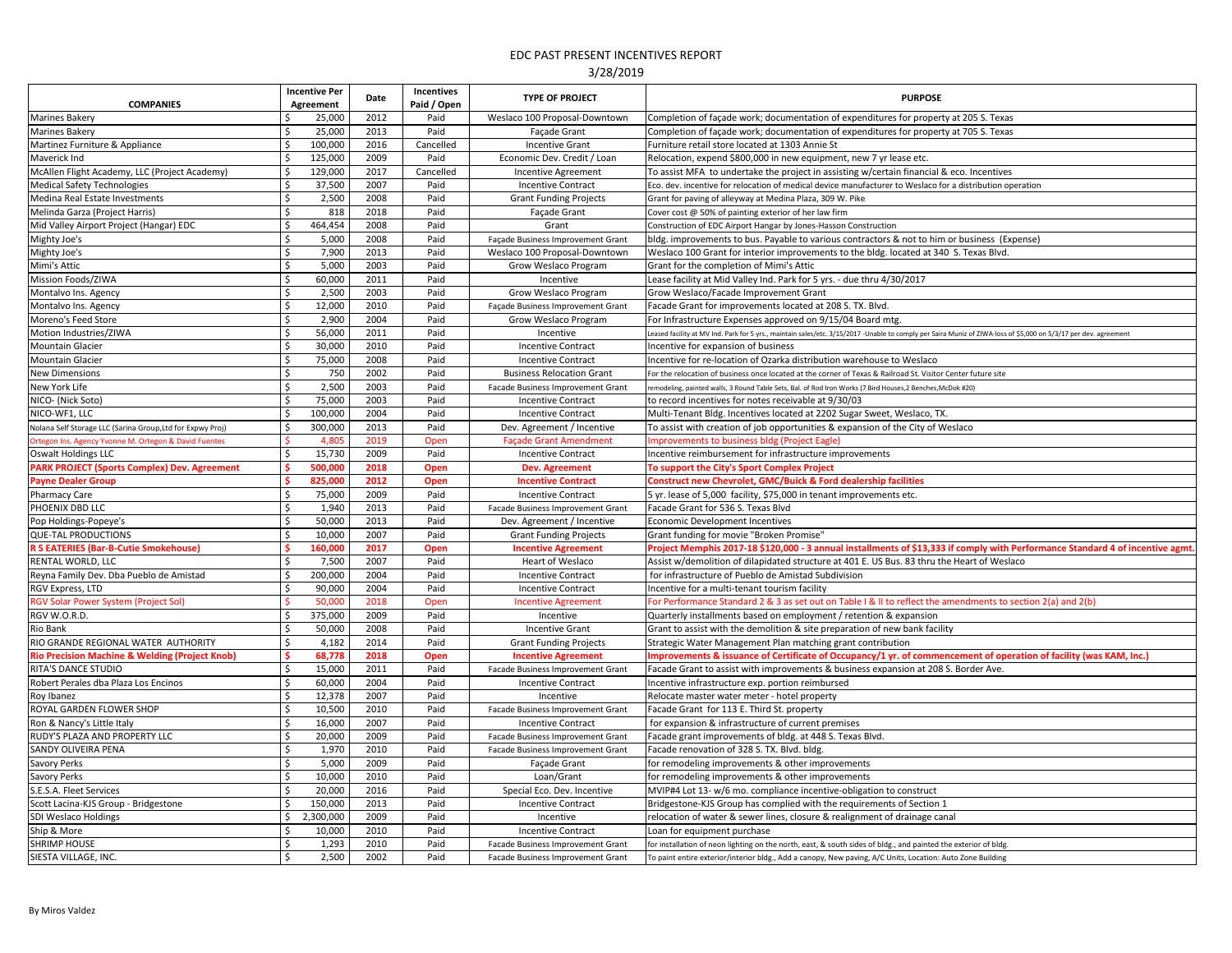| <b>COMPANIES</b>                                                                 | <b>Incentive Per</b><br>Agreement | <b>Date</b> | <b>Incentives</b><br>Paid / Open | <b>TYPE OF PROJECT</b>                                 | <b>PURPOSE</b>                                                                                                                                                                    |
|----------------------------------------------------------------------------------|-----------------------------------|-------------|----------------------------------|--------------------------------------------------------|-----------------------------------------------------------------------------------------------------------------------------------------------------------------------------------|
| Marines Bakery                                                                   | 25,000                            | 2012        | Paid                             | Weslaco 100 Proposal-Downtown                          | Completion of façade work; documentation of expenditures for property at 205 S. Texas                                                                                             |
| <b>Marines Bakery</b>                                                            | 25,000                            | 2013        | Paid                             | Façade Grant                                           | Completion of façade work; documentation of expenditures for property at 705 S. Texas                                                                                             |
| Martinez Furniture & Appliance                                                   | 100,000                           | 2016        | Cancelled                        | <b>Incentive Grant</b>                                 | Furniture retail store located at 1303 Annie St                                                                                                                                   |
| Maverick Ind                                                                     | 125,000                           | 2009        | Paid                             | Economic Dev. Credit / Loan                            | Relocation, expend \$800,000 in new equipment, new 7 yr lease etc.                                                                                                                |
| McAllen Flight Academy, LLC (Project Academy)                                    | 129,000                           | 2017        | Cancelled                        | Incentive Agreement                                    | To assist MFA to undertake the project in assisting w/certain financial & eco. Incentives                                                                                         |
| <b>Medical Safety Technologies</b>                                               | 37,500                            | 2007        | Paid                             | <b>Incentive Contract</b>                              | Eco. dev. incentive for relocation of medical device manufacturer to Weslaco for a distribution operation                                                                         |
| Medina Real Estate Investments                                                   | 2,500                             | 2008        | Paid                             | <b>Grant Funding Projects</b>                          | Grant for paving of alleyway at Medina Plaza, 309 W. Pike                                                                                                                         |
| Melinda Garza (Project Harris)                                                   | 818                               | 2018        | Paid                             | Façade Grant                                           | Cover cost @ 50% of painting exterior of her law firm                                                                                                                             |
| Mid Valley Airport Project (Hangar) EDC                                          | 464,454                           | 2008        | Paid                             | Grant                                                  | Construction of EDC Airport Hangar by Jones-Hasson Construction                                                                                                                   |
| Mighty Joe's                                                                     | 5,000                             | 2008        | Paid                             | Façade Business Improvement Grant                      | bldg. improvements to bus. Payable to various contractors & not to him or business (Expense)                                                                                      |
| Mighty Joe's                                                                     | 7,900                             | 2013        | Paid                             | Weslaco 100 Proposal-Downtown                          | Weslaco 100 Grant for interior improvements to the bldg. located at 340 S. Texas Blvd.                                                                                            |
| Mimi's Attic                                                                     | 5,000                             | 2003        | Paid                             | Grow Weslaco Program                                   | Grant for the completion of Mimi's Attic                                                                                                                                          |
| Mission Foods/ZIWA                                                               | 60,000                            | 2011        | Paid                             | Incentive                                              | Lease facility at Mid Valley Ind. Park for 5 yrs. - due thru 4/30/2017                                                                                                            |
| Montalvo Ins. Agency                                                             | 2,500                             | 2003        | Paid                             | Grow Weslaco Program                                   | <b>Grow Weslaco/Facade Improvement Grant</b>                                                                                                                                      |
| Montalvo Ins. Agency                                                             | 12,000                            | 2010        | Paid                             | Façade Business Improvement Grant                      | Facade Grant for improvements located at 208 S. TX. Blvd.                                                                                                                         |
| Moreno's Feed Store                                                              | 2,900                             | 2004        | Paid                             | Grow Weslaco Program                                   | For Infrastructure Expenses approved on 9/15/04 Board mtg.                                                                                                                        |
| Motion Industries/ZIWA                                                           | 56,000                            | 2011        | Paid                             | Incentive                                              | Leased facility at MV Ind. Park for 5 yrs., maintain sales/etc. 3/15/2017 -Unable to comply per Saira Muniz of ZIWA-loss of \$5,000 on 5/3/17 per dev. agreement                  |
| <b>Mountain Glacier</b>                                                          | 30,000                            | 2010        | Paid                             | <b>Incentive Contract</b>                              | Incentive for expansion of business                                                                                                                                               |
| Mountain Glacier                                                                 | 75,000                            | 2008        | Paid                             | <b>Incentive Contract</b>                              | Incentive for re-location of Ozarka distribution warehouse to Weslaco                                                                                                             |
| <b>New Dimensions</b>                                                            | 750                               | 2002        | Paid                             | <b>Business Relocation Grant</b>                       | For the relocation of business once located at the corner of Texas & Railroad St. Visitor Center future site                                                                      |
| New York Life                                                                    | 2,500                             | 2003        | Paid                             | Facade Business Improvement Grant                      | remodeling, painted walls, 3 Round Table Sets, Bal. of Rod Iron Works (7 Bird Houses, 2 Benches, McDok #20)                                                                       |
| NICO- (Nick Soto)                                                                | 75,000                            | 2003        | Paid                             | <b>Incentive Contract</b>                              | to record incentives for notes receivable at 9/30/03                                                                                                                              |
| NICO-WF1, LLC                                                                    | 100,000                           | 2004        | Paid                             | <b>Incentive Contract</b>                              | Multi-Tenant Bldg. Incentives located at 2202 Sugar Sweet, Weslaco, TX.                                                                                                           |
| Nolana Self Storage LLC (Sarina Group, Ltd for Expwy Proj)                       | 300,000                           | 2013        | Paid                             | Dev. Agreement / Incentive                             | To assist with creation of job opportunities & expansion of the City of Weslaco                                                                                                   |
| Ortegon Ins. Agency Yvonne M. Ortegon & David Fuentes                            | 4,805                             | 2019        | Open                             | <b>Façade Grant Amendment</b>                          | Improvements to business bldg (Project Eagle)                                                                                                                                     |
| <b>Oswalt Holdings LLC</b>                                                       | 15,730                            | 2009        | Paid                             | <b>Incentive Contract</b>                              | Incentive reimbursement for infrastructure improvements                                                                                                                           |
| <b>PARK PROJECT (Sports Complex) Dev. Agreement</b>                              | 500,000                           | 2018        | <b>Open</b>                      | <b>Dev. Agreement</b>                                  | To support the City's Sport Complex Project                                                                                                                                       |
| <b>Payne Dealer Group</b>                                                        | 825,000                           | 2012        | <b>Open</b>                      | <b>Incentive Contract</b>                              | <b>Construct new Chevrolet, GMC/Buick &amp; Ford dealership facilities</b>                                                                                                        |
| <b>Pharmacy Care</b>                                                             | 75,000                            | 2009        | Paid                             | <b>Incentive Contract</b>                              | 5 yr. lease of 5,000 facility, \$75,000 in tenant improvements etc.                                                                                                               |
| PHOENIX DBD LLC                                                                  | 1,940                             | 2013        | Paid                             | Facade Business Improvement Grant                      | Facade Grant for 536 S. Texas Blvd                                                                                                                                                |
| Pop Holdings-Popeye's                                                            | 50,000                            | 2013        | Paid                             | Dev. Agreement / Incentive                             | <b>Economic Development Incentives</b>                                                                                                                                            |
| <b>QUE-TAL PRODUCTIONS</b>                                                       | 10,000                            | 2007        | Paid                             | <b>Grant Funding Projects</b>                          | Grant funding for movie "Broken Promise"                                                                                                                                          |
| <b>R 5 EATERIES (Bar-B-Cutie Smokehouse)</b>                                     | 160,000                           | 2017        |                                  |                                                        | Project Memphis 2017-18 \$120,000 - 3 annual installments of \$13,333 if comply with Performance Standard 4 of incentive agmt.                                                    |
| RENTAL WORLD, LLC                                                                | 7,500                             | 2007        | <b>Open</b><br>Paid              | <b>Incentive Agreement</b><br><b>Heart of Weslaco</b>  | Assist w/demolition of dilapidated structure at 401 E. US Bus. 83 thru the Heart of Weslaco                                                                                       |
| Reyna Family Dev. Dba Pueblo de Amistad                                          | 200,000                           | 2004        | Paid                             |                                                        | for infrastructure of Pueblo de Amistad Subdivision                                                                                                                               |
| RGV Express, LTD                                                                 | 90,000                            | 2004        | Paid                             | <b>Incentive Contract</b><br><b>Incentive Contract</b> | Incentive for a multi-tenant tourism facility                                                                                                                                     |
| <b>RGV Solar Power System (Project Sol)</b>                                      | 50,000                            | 2018        | Open                             | <b>Incentive Agreement</b>                             | For Performance Standard 2 & 3 as set out on Table I & II to reflect the amendments to section 2(a) and 2(b)                                                                      |
|                                                                                  | 375,000                           | 2009        | Paid                             | Incentive                                              |                                                                                                                                                                                   |
| RGV W.O.R.D.<br>Rio Bank                                                         |                                   | 2008        | Paid                             | <b>Incentive Grant</b>                                 | Quarterly installments based on employment / retention & expansion<br>Grant to assist with the demolition & site preparation of new bank facility                                 |
| RIO GRANDE REGIONAL WATER AUTHORITY                                              | 50,000                            | 2014        |                                  |                                                        |                                                                                                                                                                                   |
|                                                                                  | 4,182                             | 2018        | Paid                             | <b>Grant Funding Projects</b>                          | Strategic Water Management Plan matching grant contribution<br>Improvements & issuance of Certificate of Occupancy/1 yr. of commencement of operation of facility (was KAM, Inc.) |
| <b>Rio Precision Machine &amp; Welding (Project Knob)</b><br>RITA'S DANCE STUDIO | 68,778<br>15,000                  | 2011        | <b>Open</b><br>Paid              | <b>Incentive Agreement</b>                             | Facade Grant to assist with improvements & business expansion at 208 S. Border Ave.                                                                                               |
|                                                                                  |                                   |             |                                  | Facade Business Improvement Grant                      |                                                                                                                                                                                   |
| Robert Perales dba Plaza Los Encinos                                             | 60,000                            | 2004        | Paid                             | <b>Incentive Contract</b>                              | Incentive infrastructure exp. portion reimbursed                                                                                                                                  |
| Roy Ibanez                                                                       | 12,378                            | 2007        | Paid                             | Incentive                                              | Relocate master water meter - hotel property                                                                                                                                      |
| ROYAL GARDEN FLOWER SHOP                                                         | 10,500                            | 2010        | Paid                             | Facade Business Improvement Grant                      | Facade Grant for 113 E. Third St. property                                                                                                                                        |
| Ron & Nancy's Little Italy                                                       | 16,000                            | 2007        | Paid                             | <b>Incentive Contract</b>                              | for expansion & infrastructure of current premises                                                                                                                                |
| RUDY'S PLAZA AND PROPERTY LLC                                                    | 20,000                            | 2009        | Paid                             | Facade Business Improvement Grant                      | Facade grant improvements of bldg. at 448 S. Texas Blvd.                                                                                                                          |
| SANDY OLIVEIRA PENA                                                              | 1,970                             | 2010        | Paid                             | Facade Business Improvement Grant                      | Facade renovation of 328 S. TX. Blvd. bldg.                                                                                                                                       |
| Savory Perks                                                                     | 5,000                             | 2009        | Paid                             | Façade Grant                                           | for remodeling improvements & other improvements                                                                                                                                  |
| Savory Perks                                                                     | 10,000                            | 2010        | Paid                             | Loan/Grant                                             | for remodeling improvements & other improvements                                                                                                                                  |
| S.E.S.A. Fleet Services                                                          | 20,000                            | 2016        | Paid                             | Special Eco. Dev. Incentive                            | MVIP#4 Lot 13- w/6 mo. compliance incentive-obligation to construct                                                                                                               |
| Scott Lacina-KJS Group - Bridgestone                                             | 150,000                           | 2013        | Paid                             | <b>Incentive Contract</b>                              | Bridgestone-KJS Group has complied with the requirements of Section 1                                                                                                             |
| SDI Weslaco Holdings                                                             | 2,300,000                         | 2009        | Paid                             | Incentive                                              | relocation of water & sewer lines, closure & realignment of drainage canal                                                                                                        |
| Ship & More                                                                      | 10,000                            | 2010        | Paid                             | <b>Incentive Contract</b>                              | Loan for equipment purchase                                                                                                                                                       |
| <b>SHRIMP HOUSE</b>                                                              | 1,293                             | 2010        | Paid                             | Facade Business Improvement Grant                      | for installation of neon lighting on the north, east, & south sides of bldg., and painted the exterior of bldg.                                                                   |
| SIESTA VILLAGE, INC.                                                             | 2,500                             | 2002        | Paid                             | Facade Business Improvement Grant                      | To paint entire exterior/interior bldg., Add a canopy, New paving, A/C Units, Location: Auto Zone Building                                                                        |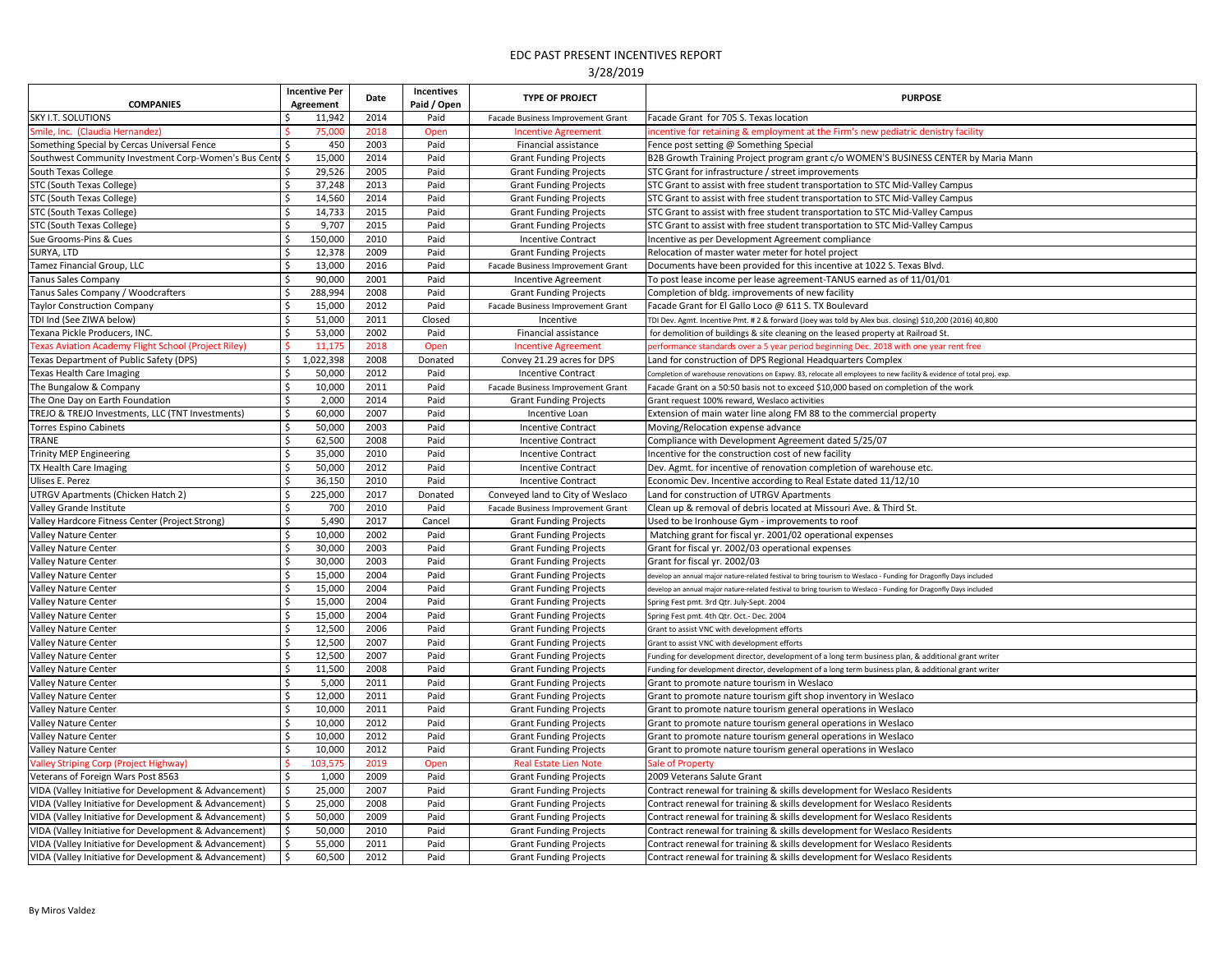| <b>COMPANIES</b>                                       |         | <b>Incentive Per</b><br>Agreement | Date | <b>Incentives</b><br>Paid / Open | <b>TYPE OF PROJECT</b>            | <b>PURPOSE</b>                                                                                                          |
|--------------------------------------------------------|---------|-----------------------------------|------|----------------------------------|-----------------------------------|-------------------------------------------------------------------------------------------------------------------------|
| <b>SKY I.T. SOLUTIONS</b>                              |         | 11,942                            | 2014 | Paid                             | Facade Business Improvement Grant | Facade Grant for 705 S. Texas location                                                                                  |
| Smile, Inc. (Claudia Hernandez)                        |         | 75,000                            | 2018 | Open                             | <b>Incentive Agreement</b>        | incentive for retaining & employment at the Firm's new pediatric denistry facility                                      |
| Something Special by Cercas Universal Fence            |         | 450                               | 2003 | Paid                             | Financial assistance              | Fence post setting @ Something Special                                                                                  |
| Southwest Community Investment Corp-Women's Bus Cente  |         | 15,000                            | 2014 | Paid                             | <b>Grant Funding Projects</b>     | B2B Growth Training Project program grant c/o WOMEN'S BUSINESS CENTER by Maria Mann                                     |
| South Texas College                                    |         | 29,526                            | 2005 | Paid                             | <b>Grant Funding Projects</b>     | STC Grant for infrastructure / street improvements                                                                      |
| STC (South Texas College)                              |         | 37,248                            | 2013 | Paid                             | <b>Grant Funding Projects</b>     | STC Grant to assist with free student transportation to STC Mid-Valley Campus                                           |
| STC (South Texas College)                              |         | 14,560                            | 2014 | Paid                             | <b>Grant Funding Projects</b>     | STC Grant to assist with free student transportation to STC Mid-Valley Campus                                           |
| STC (South Texas College)                              |         | 14,733                            | 2015 | Paid                             | <b>Grant Funding Projects</b>     | STC Grant to assist with free student transportation to STC Mid-Valley Campus                                           |
| STC (South Texas College)                              |         | 9,707                             | 2015 | Paid                             | <b>Grant Funding Projects</b>     | STC Grant to assist with free student transportation to STC Mid-Valley Campus                                           |
| Sue Grooms-Pins & Cues                                 |         | 150,000                           | 2010 | Paid                             | <b>Incentive Contract</b>         | Incentive as per Development Agreement compliance                                                                       |
| SURYA, LTD                                             |         | 12,378                            | 2009 | Paid                             | <b>Grant Funding Projects</b>     | Relocation of master water meter for hotel project                                                                      |
| Tamez Financial Group, LLC                             |         | 13,000                            | 2016 | Paid                             | Facade Business Improvement Grant | Documents have been provided for this incentive at 1022 S. Texas Blvd.                                                  |
| <b>Tanus Sales Company</b>                             |         | 90,000                            | 2001 | Paid                             | Incentive Agreement               | To post lease income per lease agreement-TANUS earned as of 11/01/01                                                    |
| Tanus Sales Company / Woodcrafters                     |         | 288,994                           | 2008 | Paid                             | <b>Grant Funding Projects</b>     | Completion of bldg. improvements of new facility                                                                        |
| <b>Taylor Construction Company</b>                     |         | 15,000                            | 2012 | Paid                             | Facade Business Improvement Grant | Facade Grant for El Gallo Loco @ 611 S. TX Boulevard                                                                    |
| TDI Ind (See ZIWA below)                               |         | 51,000                            | 2011 | Closed                           | Incentive                         | TDI Dev. Agmt. Incentive Pmt. # 2 & forward (Joey was told by Alex bus. closing) \$10,200 (2016) 40,800                 |
| Texana Pickle Producers, INC.                          |         | 53,000                            | 2002 | Paid                             | Financial assistance              | for demolition of buildings & site cleaning on the leased property at Railroad St.                                      |
| Texas Aviation Academy Flight School (Project Riley)   |         | 11,175                            | 2018 | Open                             | <b>Incentive Agreement</b>        | performance standards over a 5 year period beginning Dec. 2018 with one year rent free                                  |
| Texas Department of Public Safety (DPS)                |         | 1,022,398                         | 2008 | Donated                          | Convey 21.29 acres for DPS        | Land for construction of DPS Regional Headquarters Complex                                                              |
| <b>Texas Health Care Imaging</b>                       |         | 50,000                            | 2012 | Paid                             | <b>Incentive Contract</b>         | Completion of warehouse renovations on Expwy. 83, relocate all employees to new facility & evidence of total proj. exp. |
| The Bungalow & Company                                 |         | 10,000                            | 2011 | Paid                             | Facade Business Improvement Grant | Facade Grant on a 50:50 basis not to exceed \$10,000 based on completion of the work                                    |
| The One Day on Earth Foundation                        |         | 2,000                             | 2014 | Paid                             | <b>Grant Funding Projects</b>     | Grant request 100% reward, Weslaco activities                                                                           |
| TREJO & TREJO Investments, LLC (TNT Investments)       |         | 60,000                            | 2007 | Paid                             | Incentive Loan                    | Extension of main water line along FM 88 to the commercial property                                                     |
| <b>Torres Espino Cabinets</b>                          |         | 50,000                            | 2003 | Paid                             | <b>Incentive Contract</b>         | Moving/Relocation expense advance                                                                                       |
| <b>TRANE</b>                                           |         | 62,500                            | 2008 | Paid                             | <b>Incentive Contract</b>         | Compliance with Development Agreement dated 5/25/07                                                                     |
| <b>Trinity MEP Engineering</b>                         |         | 35,000                            | 2010 | Paid                             | <b>Incentive Contract</b>         | Incentive for the construction cost of new facility                                                                     |
| TX Health Care Imaging                                 |         | 50,000                            | 2012 | Paid                             | <b>Incentive Contract</b>         | Dev. Agmt. for incentive of renovation completion of warehouse etc.                                                     |
| Ulises E. Perez                                        |         | 36,150                            | 2010 | Paid                             | <b>Incentive Contract</b>         | Economic Dev. Incentive according to Real Estate dated 11/12/10                                                         |
| <b>UTRGV Apartments (Chicken Hatch 2)</b>              |         | 225,000                           | 2017 | Donated                          | Conveyed land to City of Weslaco  | Land for construction of UTRGV Apartments                                                                               |
| Valley Grande Institute                                | \$      | 700                               | 2010 | Paid                             | Facade Business Improvement Grant | Clean up & removal of debris located at Missouri Ave. & Third St.                                                       |
| Valley Hardcore Fitness Center (Project Strong)        | $\zeta$ | 5,490                             | 2017 | Cancel                           | <b>Grant Funding Projects</b>     | Used to be Ironhouse Gym - improvements to roof                                                                         |
| Valley Nature Center                                   |         | 10,000                            | 2002 | Paid                             | <b>Grant Funding Projects</b>     | Matching grant for fiscal yr. 2001/02 operational expenses                                                              |
| Valley Nature Center                                   |         | 30,000                            | 2003 | Paid                             | <b>Grant Funding Projects</b>     | Grant for fiscal yr. 2002/03 operational expenses                                                                       |
| Valley Nature Center                                   |         | 30,000                            | 2003 | Paid                             | <b>Grant Funding Projects</b>     | Grant for fiscal yr. 2002/03                                                                                            |
| Valley Nature Center                                   |         | 15,000                            | 2004 | Paid                             | <b>Grant Funding Projects</b>     | develop an annual major nature-related festival to bring tourism to Weslaco - Funding for Dragonfly Days included       |
| Valley Nature Center                                   |         | 15,000                            | 2004 | Paid                             | <b>Grant Funding Projects</b>     | develop an annual major nature-related festival to bring tourism to Weslaco - Funding for Dragonfly Days included       |
| Valley Nature Center                                   |         | 15,000                            | 2004 | Paid                             | <b>Grant Funding Projects</b>     | Spring Fest pmt. 3rd Qtr. July-Sept. 2004                                                                               |
| <b>Valley Nature Center</b>                            |         | 15,000                            | 2004 | Paid                             | <b>Grant Funding Projects</b>     | Spring Fest pmt. 4th Qtr. Oct.- Dec. 2004                                                                               |
| Valley Nature Center                                   |         | 12,500                            | 2006 | Paid                             | <b>Grant Funding Projects</b>     | Grant to assist VNC with development efforts                                                                            |
| Valley Nature Center                                   |         | 12,500                            | 2007 | Paid                             | <b>Grant Funding Projects</b>     | Grant to assist VNC with development efforts                                                                            |
| Valley Nature Center                                   |         | 12,500                            | 2007 | Paid                             | <b>Grant Funding Projects</b>     | Funding for development director, development of a long term business plan, & additional grant writer                   |
| Valley Nature Center                                   |         | 11,500                            | 2008 | Paid                             | <b>Grant Funding Projects</b>     | Funding for development director, development of a long term business plan, & additional grant writer                   |
| Valley Nature Center                                   |         | 5,000                             | 2011 | Paid                             | <b>Grant Funding Projects</b>     | Grant to promote nature tourism in Weslaco                                                                              |
| Valley Nature Center                                   |         | 12,000                            | 2011 | Paid                             | <b>Grant Funding Projects</b>     | Grant to promote nature tourism gift shop inventory in Weslaco                                                          |
| Valley Nature Center                                   |         | 10,000                            | 2011 | Paid                             | <b>Grant Funding Projects</b>     | Grant to promote nature tourism general operations in Weslaco                                                           |
| Valley Nature Center                                   |         | 10,000                            | 2012 | Paid                             | <b>Grant Funding Projects</b>     | Grant to promote nature tourism general operations in Weslaco                                                           |
| Valley Nature Center                                   |         | 10,000                            | 2012 | Paid                             | <b>Grant Funding Projects</b>     | Grant to promote nature tourism general operations in Weslaco                                                           |
| Valley Nature Center                                   |         | 10,000                            | 2012 | Paid                             | <b>Grant Funding Projects</b>     | Grant to promote nature tourism general operations in Weslaco                                                           |
| <b>Valley Striping Corp (Project Highway)</b>          |         | 103,575                           | 2019 | Open                             | <b>Real Estate Lien Note</b>      | <b>Sale of Property</b>                                                                                                 |
| Veterans of Foreign Wars Post 8563                     |         | 1,000                             | 2009 | Paid                             | <b>Grant Funding Projects</b>     | 2009 Veterans Salute Grant                                                                                              |
| VIDA (Valley Initiative for Development & Advancement) |         | 25,000                            | 2007 | Paid                             | <b>Grant Funding Projects</b>     | Contract renewal for training & skills development for Weslaco Residents                                                |
| VIDA (Valley Initiative for Development & Advancement) |         | 25,000                            | 2008 | Paid                             | <b>Grant Funding Projects</b>     | Contract renewal for training & skills development for Weslaco Residents                                                |
| VIDA (Valley Initiative for Development & Advancement) |         | 50,000                            | 2009 | Paid                             | <b>Grant Funding Projects</b>     | Contract renewal for training & skills development for Weslaco Residents                                                |
| VIDA (Valley Initiative for Development & Advancement) |         | 50,000                            | 2010 | Paid                             | <b>Grant Funding Projects</b>     | Contract renewal for training & skills development for Weslaco Residents                                                |
| VIDA (Valley Initiative for Development & Advancement) |         | 55,000                            | 2011 | Paid                             | <b>Grant Funding Projects</b>     | Contract renewal for training & skills development for Weslaco Residents                                                |
| VIDA (Valley Initiative for Development & Advancement) |         | 60,500                            | 2012 | Paid                             | <b>Grant Funding Projects</b>     | Contract renewal for training & skills development for Weslaco Residents                                                |
|                                                        |         |                                   |      |                                  |                                   |                                                                                                                         |